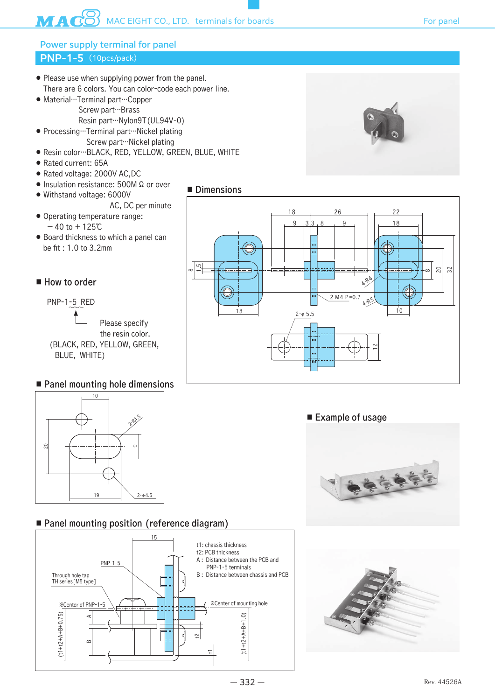### **PNP-1-5** (10pcs/pack) Power supply terminal for panel

- Please use when supplying power from the panel. There are 6 colors. You can color-code each power line.
- Material…Terminal part…Copper Screw part…Brass Resin part…Nylon9T(UL94V-0)
- Processing…Terminal part…Nickel plating
	- Screw part…Nickel plating
- Resin color…BLACK, RED, YELLOW, GREEN, BLUE, WHITE
- Rated current: 65A
- Rated voltage: 2000V AC,DC
- Insulation resistance: 500M Ω or over
- Withstand voltage: 6000V
	- AC, DC per minute
- Operating temperature range:  $-40$  to  $+125$ °C
- Board thickness to which a panel can be fit : 1.0 to 3.2mm

### ■ How to order

PNP-1-5 RED

 Please specify the resin color. (BLACK, RED, YELLOW, GREEN, BLUE, WHITE)

## ■ Panel mounting hole dimensions



# ■ Panel mounting position (reference diagram)







#### ■ Example of usage